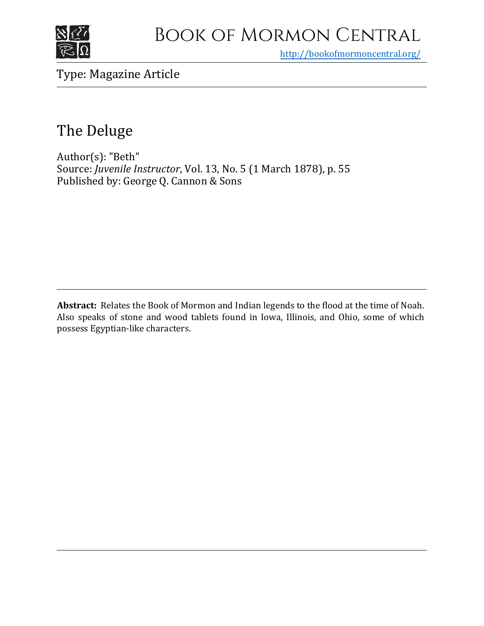

# Book of Mormon Central

<http://bookofmormoncentral.org/>

Type: Magazine Article

# The Deluge

Author(s): "Beth" Source: *Juvenile Instructor*, Vol. 13, No. 5 (1 March 1878), p. 55 Published by: George Q. Cannon & Sons

**Abstract:** Relates the Book of Mormon and Indian legends to the flood at the time of Noah. Also speaks of stone and wood tablets found in Iowa, Illinois, and Ohio, some of which possess Egyptian-like characters.